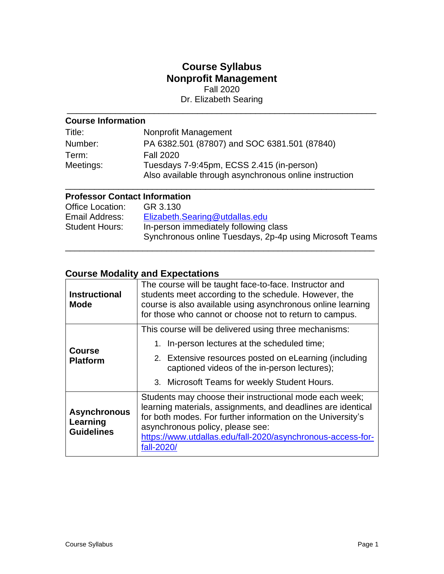# **Course Syllabus Nonprofit Management**

Fall 2020

Dr. Elizabeth Searing \_\_\_\_\_\_\_\_\_\_\_\_\_\_\_\_\_\_\_\_\_\_\_\_\_\_\_\_\_\_\_\_\_\_\_\_\_\_\_\_\_\_\_\_\_\_\_\_\_\_\_\_\_\_\_\_\_\_\_\_\_\_\_\_

## **Course Information**

| Title:    | Nonprofit Management                                   |
|-----------|--------------------------------------------------------|
| Number:   | PA 6382.501 (87807) and SOC 6381.501 (87840)           |
| Term:     | <b>Fall 2020</b>                                       |
| Meetings: | Tuesdays 7-9:45pm, ECSS 2.415 (in-person)              |
|           | Also available through asynchronous online instruction |

## **Professor Contact Information**

| Office Location:<br>Email Address:<br><b>Student Hours:</b> | GR 3.130<br>Elizabeth.Searing@utdallas.edu<br>In-person immediately following class<br>Synchronous online Tuesdays, 2p-4p using Microsoft Teams |
|-------------------------------------------------------------|-------------------------------------------------------------------------------------------------------------------------------------------------|
|                                                             |                                                                                                                                                 |

\_\_\_\_\_\_\_\_\_\_\_\_\_\_\_\_\_\_\_\_\_\_\_\_\_\_\_\_\_\_\_\_\_\_\_\_\_\_\_\_\_\_\_\_\_\_\_\_\_\_\_\_\_\_\_\_\_\_\_\_\_\_\_\_

## **Course Modality and Expectations**

| <b>Instructional</b><br><b>Mode</b>                  | The course will be taught face-to-face. Instructor and<br>students meet according to the schedule. However, the<br>course is also available using asynchronous online learning<br>for those who cannot or choose not to return to campus.                                                              |  |  |
|------------------------------------------------------|--------------------------------------------------------------------------------------------------------------------------------------------------------------------------------------------------------------------------------------------------------------------------------------------------------|--|--|
|                                                      | This course will be delivered using three mechanisms:                                                                                                                                                                                                                                                  |  |  |
| <b>Course</b>                                        | 1. In-person lectures at the scheduled time;                                                                                                                                                                                                                                                           |  |  |
| <b>Platform</b>                                      | 2. Extensive resources posted on eLearning (including<br>captioned videos of the in-person lectures);                                                                                                                                                                                                  |  |  |
|                                                      | 3. Microsoft Teams for weekly Student Hours.                                                                                                                                                                                                                                                           |  |  |
| <b>Asynchronous</b><br>Learning<br><b>Guidelines</b> | Students may choose their instructional mode each week;<br>learning materials, assignments, and deadlines are identical<br>for both modes. For further information on the University's<br>asynchronous policy, please see:<br>https://www.utdallas.edu/fall-2020/asynchronous-access-for-<br>fall-2020 |  |  |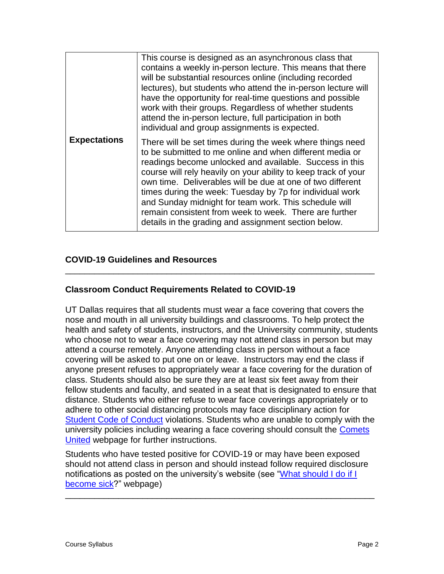|                     | This course is designed as an asynchronous class that<br>contains a weekly in-person lecture. This means that there<br>will be substantial resources online (including recorded<br>lectures), but students who attend the in-person lecture will<br>have the opportunity for real-time questions and possible<br>work with their groups. Regardless of whether students<br>attend the in-person lecture, full participation in both<br>individual and group assignments is expected.                                                                    |
|---------------------|---------------------------------------------------------------------------------------------------------------------------------------------------------------------------------------------------------------------------------------------------------------------------------------------------------------------------------------------------------------------------------------------------------------------------------------------------------------------------------------------------------------------------------------------------------|
| <b>Expectations</b> | There will be set times during the week where things need<br>to be submitted to me online and when different media or<br>readings become unlocked and available. Success in this<br>course will rely heavily on your ability to keep track of your<br>own time. Deliverables will be due at one of two different<br>times during the week: Tuesday by 7p for individual work<br>and Sunday midnight for team work. This schedule will<br>remain consistent from week to week. There are further<br>details in the grading and assignment section below. |

## **COVID-19 Guidelines and Resources**

## **Classroom Conduct Requirements Related to COVID-19**

UT Dallas requires that all students must wear a face covering that covers the nose and mouth in all university buildings and classrooms. To help protect the health and safety of students, instructors, and the University community, students who choose not to wear a face covering may not attend class in person but may attend a course remotely. Anyone attending class in person without a face covering will be asked to put one on or leave. Instructors may end the class if anyone present refuses to appropriately wear a face covering for the duration of class. Students should also be sure they are at least six feet away from their fellow students and faculty, and seated in a seat that is designated to ensure that distance. Students who either refuse to wear face coverings appropriately or to adhere to other social distancing protocols may face disciplinary action for [Student Code of Conduct](https://policy.utdallas.edu/utdsp5003) violations. Students who are unable to comply with the university policies including wearing a face covering should consult the Comets [United](https://www.utdallas.edu/fall-2020/) webpage for further instructions.

\_\_\_\_\_\_\_\_\_\_\_\_\_\_\_\_\_\_\_\_\_\_\_\_\_\_\_\_\_\_\_\_\_\_\_\_\_\_\_\_\_\_\_\_\_\_\_\_\_\_\_\_\_\_\_\_\_\_\_\_\_\_\_\_

Students who have tested positive for COVID-19 or may have been exposed should not attend class in person and should instead follow required disclosure notifications as posted on the university's website (see "What should I do if I [become sick?](https://www.utdallas.edu/coronavirus/faq/#students)" webpage)

\_\_\_\_\_\_\_\_\_\_\_\_\_\_\_\_\_\_\_\_\_\_\_\_\_\_\_\_\_\_\_\_\_\_\_\_\_\_\_\_\_\_\_\_\_\_\_\_\_\_\_\_\_\_\_\_\_\_\_\_\_\_\_\_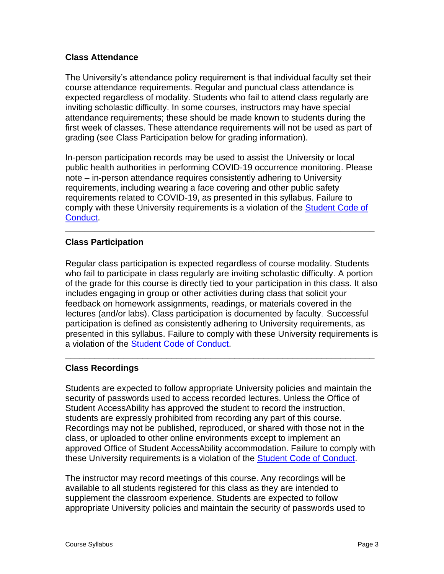### **Class Attendance**

The University's attendance policy requirement is that individual faculty set their course attendance requirements. Regular and punctual class attendance is expected regardless of modality. Students who fail to attend class regularly are inviting scholastic difficulty. In some courses, instructors may have special attendance requirements; these should be made known to students during the first week of classes. These attendance requirements will not be used as part of grading (see Class Participation below for grading information).

In-person participation records may be used to assist the University or local public health authorities in performing COVID-19 occurrence monitoring. Please note – in-person attendance requires consistently adhering to University requirements, including wearing a face covering and other public safety requirements related to COVID-19, as presented in this syllabus. Failure to comply with these University requirements is a violation of the [Student Code of](https://policy.utdallas.edu/utdsp5003)  [Conduct.](https://policy.utdallas.edu/utdsp5003)

\_\_\_\_\_\_\_\_\_\_\_\_\_\_\_\_\_\_\_\_\_\_\_\_\_\_\_\_\_\_\_\_\_\_\_\_\_\_\_\_\_\_\_\_\_\_\_\_\_\_\_\_\_\_\_\_\_\_\_\_\_\_\_\_

## **Class Participation**

Regular class participation is expected regardless of course modality. Students who fail to participate in class regularly are inviting scholastic difficulty. A portion of the grade for this course is directly tied to your participation in this class. It also includes engaging in group or other activities during class that solicit your feedback on homework assignments, readings, or materials covered in the lectures (and/or labs). Class participation is documented by faculty. Successful participation is defined as consistently adhering to University requirements, as presented in this syllabus. Failure to comply with these University requirements is a violation of the Student [Code of Conduct.](https://policy.utdallas.edu/utdsp5003)

\_\_\_\_\_\_\_\_\_\_\_\_\_\_\_\_\_\_\_\_\_\_\_\_\_\_\_\_\_\_\_\_\_\_\_\_\_\_\_\_\_\_\_\_\_\_\_\_\_\_\_\_\_\_\_\_\_\_\_\_\_\_\_\_

## **Class Recordings**

Students are expected to follow appropriate University policies and maintain the security of passwords used to access recorded lectures. Unless the Office of Student AccessAbility has approved the student to record the instruction, students are expressly prohibited from recording any part of this course. Recordings may not be published, reproduced, or shared with those not in the class, or uploaded to other online environments except to implement an approved Office of Student AccessAbility accommodation. Failure to comply with these University requirements is a violation of the [Student Code of Conduct.](https://policy.utdallas.edu/utdsp5003)

The instructor may record meetings of this course. Any recordings will be available to all students registered for this class as they are intended to supplement the classroom experience. Students are expected to follow appropriate University policies and maintain the security of passwords used to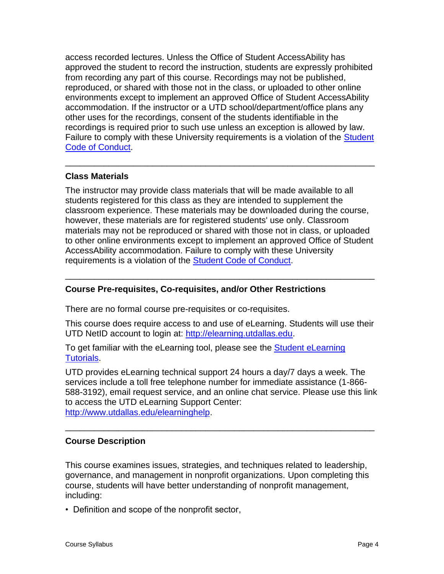access recorded lectures. Unless the Office of Student AccessAbility has approved the student to record the instruction, students are expressly prohibited from recording any part of this course. Recordings may not be published, reproduced, or shared with those not in the class, or uploaded to other online environments except to implement an approved Office of Student AccessAbility accommodation. If the instructor or a UTD school/department/office plans any other uses for the recordings, consent of the students identifiable in the recordings is required prior to such use unless an exception is allowed by law. Failure to comply with these University requirements is a violation of the Student [Code of Conduct.](https://policy.utdallas.edu/utdsp5003)

\_\_\_\_\_\_\_\_\_\_\_\_\_\_\_\_\_\_\_\_\_\_\_\_\_\_\_\_\_\_\_\_\_\_\_\_\_\_\_\_\_\_\_\_\_\_\_\_\_\_\_\_\_\_\_\_\_\_\_\_\_\_\_\_

## **Class Materials**

The instructor may provide class materials that will be made available to all students registered for this class as they are intended to supplement the classroom experience. These materials may be downloaded during the course, however, these materials are for registered students' use only. Classroom materials may not be reproduced or shared with those not in class, or uploaded to other online environments except to implement an approved Office of Student AccessAbility accommodation. Failure to comply with these University requirements is a violation of the [Student Code of Conduct.](https://policy.utdallas.edu/utdsp5003)

\_\_\_\_\_\_\_\_\_\_\_\_\_\_\_\_\_\_\_\_\_\_\_\_\_\_\_\_\_\_\_\_\_\_\_\_\_\_\_\_\_\_\_\_\_\_\_\_\_\_\_\_\_\_\_\_\_\_\_\_\_\_\_\_

## **Course Pre-requisites, Co-requisites, and/or Other Restrictions**

There are no formal course pre-requisites or co-requisites.

This course does require access to and use of eLearning. Students will use their UTD NetID account to login at: [http://elearning.utdallas.edu.](http://elearning.utdallas.edu/)

To get familiar with the eLearning tool, please see the [Student eLearning](http://www.utdallas.edu/elearning/students/eLearningTutorialsStudents.html)  [Tutorials.](http://www.utdallas.edu/elearning/students/eLearningTutorialsStudents.html)

UTD provides eLearning technical support 24 hours a day/7 days a week. The services include a toll free telephone number for immediate assistance (1-866- 588-3192), email request service, and an online chat service. Please use this link to access the UTD eLearning Support Center: [http://www.utdallas.edu/elearninghelp.](http://www.utdallas.edu/elearninghelp)

\_\_\_\_\_\_\_\_\_\_\_\_\_\_\_\_\_\_\_\_\_\_\_\_\_\_\_\_\_\_\_\_\_\_\_\_\_\_\_\_\_\_\_\_\_\_\_\_\_\_\_\_\_\_\_\_\_\_\_\_\_\_\_\_

#### **Course Description**

This course examines issues, strategies, and techniques related to leadership, governance, and management in nonprofit organizations. Upon completing this course, students will have better understanding of nonprofit management, including:

• Definition and scope of the nonprofit sector,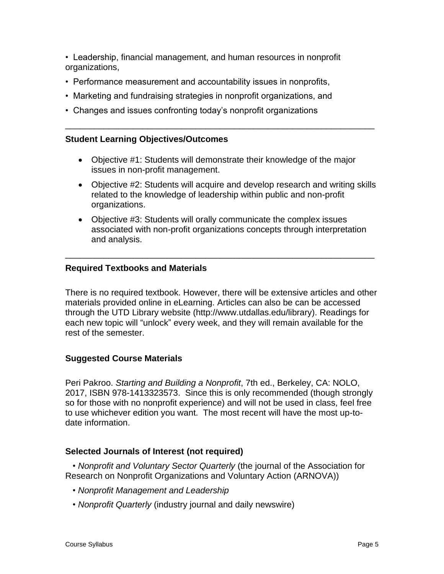• Leadership, financial management, and human resources in nonprofit organizations,

- Performance measurement and accountability issues in nonprofits,
- Marketing and fundraising strategies in nonprofit organizations, and
- Changes and issues confronting today's nonprofit organizations

#### **Student Learning Objectives/Outcomes**

• Objective #1: Students will demonstrate their knowledge of the major issues in non-profit management.

\_\_\_\_\_\_\_\_\_\_\_\_\_\_\_\_\_\_\_\_\_\_\_\_\_\_\_\_\_\_\_\_\_\_\_\_\_\_\_\_\_\_\_\_\_\_\_\_\_\_\_\_\_\_\_\_\_\_\_\_\_\_\_\_

- Objective #2: Students will acquire and develop research and writing skills related to the knowledge of leadership within public and non-profit organizations.
- Objective #3: Students will orally communicate the complex issues associated with non-profit organizations concepts through interpretation and analysis.

\_\_\_\_\_\_\_\_\_\_\_\_\_\_\_\_\_\_\_\_\_\_\_\_\_\_\_\_\_\_\_\_\_\_\_\_\_\_\_\_\_\_\_\_\_\_\_\_\_\_\_\_\_\_\_\_\_\_\_\_\_\_\_\_

#### **Required Textbooks and Materials**

There is no required textbook. However, there will be extensive articles and other materials provided online in eLearning. Articles can also be can be accessed through the UTD Library website (http://www.utdallas.edu/library). Readings for each new topic will "unlock" every week, and they will remain available for the rest of the semester.

#### **Suggested Course Materials**

Peri Pakroo. *Starting and Building a Nonprofit*, 7th ed., Berkeley, CA: NOLO, 2017, ISBN 978-1413323573. Since this is only recommended (though strongly so for those with no nonprofit experience) and will not be used in class, feel free to use whichever edition you want. The most recent will have the most up-todate information.

#### **Selected Journals of Interest (not required)**

 • *Nonprofit and Voluntary Sector Quarterly* (the journal of the Association for Research on Nonprofit Organizations and Voluntary Action (ARNOVA))

- *Nonprofit Management and Leadership*
- *Nonprofit Quarterly* (industry journal and daily newswire)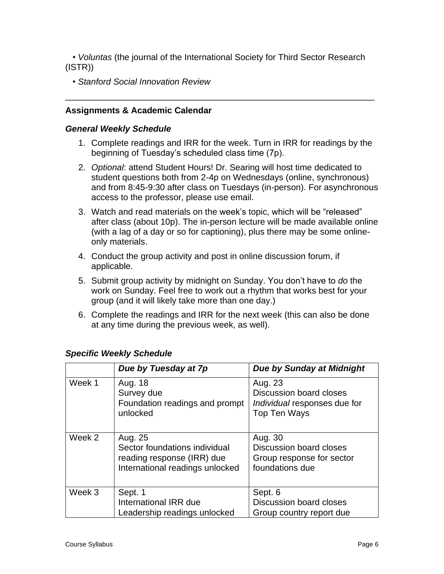• *Voluntas* (the journal of the International Society for Third Sector Research (ISTR))

\_\_\_\_\_\_\_\_\_\_\_\_\_\_\_\_\_\_\_\_\_\_\_\_\_\_\_\_\_\_\_\_\_\_\_\_\_\_\_\_\_\_\_\_\_\_\_\_\_\_\_\_\_\_\_\_\_\_\_\_\_\_\_\_

• *Stanford Social Innovation Review*

## **Assignments & Academic Calendar**

#### *General Weekly Schedule*

- 1. Complete readings and IRR for the week. Turn in IRR for readings by the beginning of Tuesday's scheduled class time (7p).
- 2. *Optional*: attend Student Hours! Dr. Searing will host time dedicated to student questions both from 2-4p on Wednesdays (online, synchronous) and from 8:45-9:30 after class on Tuesdays (in-person). For asynchronous access to the professor, please use email.
- 3. Watch and read materials on the week's topic, which will be "released" after class (about 10p). The in-person lecture will be made available online (with a lag of a day or so for captioning), plus there may be some onlineonly materials.
- 4. Conduct the group activity and post in online discussion forum, if applicable.
- 5. Submit group activity by midnight on Sunday. You don't have to *do* the work on Sunday. Feel free to work out a rhythm that works best for your group (and it will likely take more than one day.)
- 6. Complete the readings and IRR for the next week (this can also be done at any time during the previous week, as well).

|        | Due by Tuesday at 7p                                                                                      | <b>Due by Sunday at Midnight</b>                                                   |
|--------|-----------------------------------------------------------------------------------------------------------|------------------------------------------------------------------------------------|
| Week 1 | Aug. 18<br>Survey due<br>Foundation readings and prompt<br>unlocked                                       | Aug. 23<br>Discussion board closes<br>Individual responses due for<br>Top Ten Ways |
| Week 2 | Aug. 25<br>Sector foundations individual<br>reading response (IRR) due<br>International readings unlocked | Aug. 30<br>Discussion board closes<br>Group response for sector<br>foundations due |
| Week 3 | Sept. 1<br>International IRR due<br>Leadership readings unlocked                                          | Sept. 6<br>Discussion board closes<br>Group country report due                     |

## *Specific Weekly Schedule*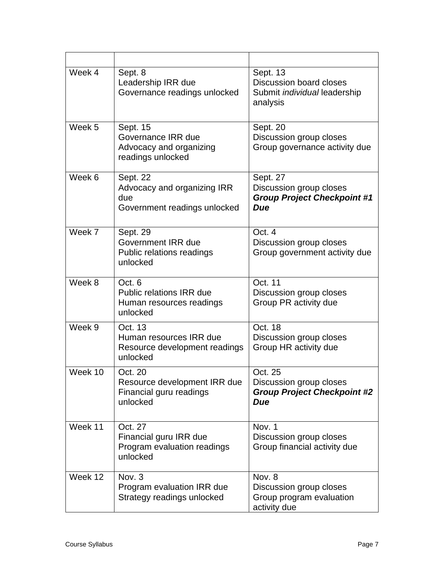| Week 4  | Sept. 8<br>Leadership IRR due<br>Governance readings unlocked                     | Sept. 13<br><b>Discussion board closes</b><br>Submit <i>individual</i> leadership<br>analysis |
|---------|-----------------------------------------------------------------------------------|-----------------------------------------------------------------------------------------------|
| Week 5  | Sept. 15<br>Governance IRR due<br>Advocacy and organizing<br>readings unlocked    | Sept. 20<br>Discussion group closes<br>Group governance activity due                          |
| Week 6  | Sept. 22<br>Advocacy and organizing IRR<br>due<br>Government readings unlocked    | Sept. 27<br>Discussion group closes<br><b>Group Project Checkpoint #1</b><br><b>Due</b>       |
| Week 7  | Sept. 29<br><b>Government IRR due</b><br>Public relations readings<br>unlocked    | Oct. 4<br>Discussion group closes<br>Group government activity due                            |
| Week 8  | Oct. 6<br><b>Public relations IRR due</b><br>Human resources readings<br>unlocked | Oct. 11<br>Discussion group closes<br>Group PR activity due                                   |
| Week 9  | Oct. 13<br>Human resources IRR due<br>Resource development readings<br>unlocked   | Oct. 18<br>Discussion group closes<br>Group HR activity due                                   |
| Week 10 | Oct. 20<br>Resource development IRR due<br>Financial guru readings<br>unlocked    | Oct. 25<br>Discussion group closes<br><b>Group Project Checkpoint #2</b><br>Due               |
| Week 11 | Oct. 27<br>Financial guru IRR due<br>Program evaluation readings<br>unlocked      | Nov. 1<br>Discussion group closes<br>Group financial activity due                             |
| Week 12 | Nov. 3<br>Program evaluation IRR due<br>Strategy readings unlocked                | Nov. 8<br>Discussion group closes<br>Group program evaluation<br>activity due                 |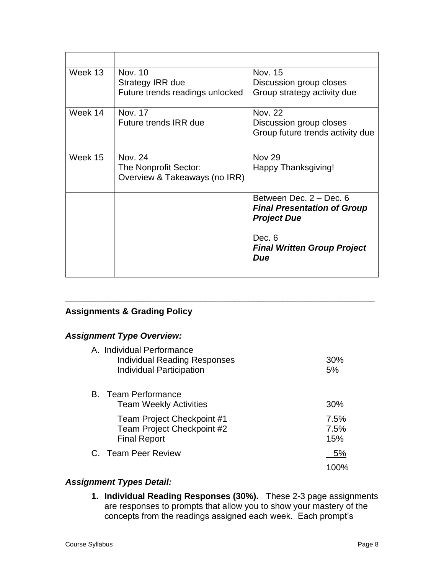| Week 13 | Nov. 10                         | Nov. 15                            |
|---------|---------------------------------|------------------------------------|
|         | Strategy IRR due                | Discussion group closes            |
|         | Future trends readings unlocked | Group strategy activity due        |
| Week 14 | Nov. 17                         | Nov. 22                            |
|         | Future trends IRR due           | Discussion group closes            |
|         |                                 | Group future trends activity due   |
|         |                                 |                                    |
| Week 15 | Nov. 24                         | <b>Nov 29</b>                      |
|         | The Nonprofit Sector:           | Happy Thanksgiving!                |
|         | Overview & Takeaways (no IRR)   |                                    |
|         |                                 | Between Dec. 2 - Dec. 6            |
|         |                                 | <b>Final Presentation of Group</b> |
|         |                                 | <b>Project Due</b>                 |
|         |                                 | Dec. 6                             |
|         |                                 | <b>Final Written Group Project</b> |
|         |                                 | Due                                |
|         |                                 |                                    |
|         |                                 |                                    |

## **Assignments & Grading Policy**

## *Assignment Type Overview:*

| A. Individual Performance<br><b>Individual Reading Responses</b><br><b>Individual Participation</b> | 30%<br>5%           |
|-----------------------------------------------------------------------------------------------------|---------------------|
| <b>B.</b> Team Performance<br><b>Team Weekly Activities</b>                                         | 30%                 |
| Team Project Checkpoint #1<br>Team Project Checkpoint #2<br><b>Final Report</b>                     | 7.5%<br>7.5%<br>15% |
| C. Team Peer Review                                                                                 | 5%                  |
|                                                                                                     |                     |

\_\_\_\_\_\_\_\_\_\_\_\_\_\_\_\_\_\_\_\_\_\_\_\_\_\_\_\_\_\_\_\_\_\_\_\_\_\_\_\_\_\_\_\_\_\_\_\_\_\_\_\_\_\_\_\_\_\_\_\_\_\_\_\_

## *Assignment Types Detail:*

**1. Individual Reading Responses (30%).** These 2-3 page assignments are responses to prompts that allow you to show your mastery of the concepts from the readings assigned each week. Each prompt's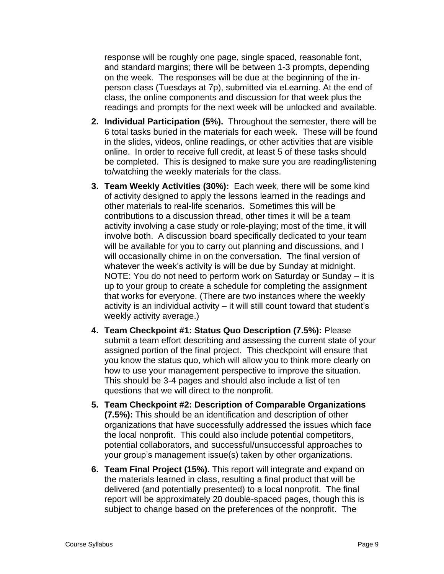response will be roughly one page, single spaced, reasonable font, and standard margins; there will be between 1-3 prompts, depending on the week. The responses will be due at the beginning of the inperson class (Tuesdays at 7p), submitted via eLearning. At the end of class, the online components and discussion for that week plus the readings and prompts for the next week will be unlocked and available.

- **2. Individual Participation (5%).** Throughout the semester, there will be 6 total tasks buried in the materials for each week. These will be found in the slides, videos, online readings, or other activities that are visible online. In order to receive full credit, at least 5 of these tasks should be completed. This is designed to make sure you are reading/listening to/watching the weekly materials for the class.
- **3. Team Weekly Activities (30%):** Each week, there will be some kind of activity designed to apply the lessons learned in the readings and other materials to real-life scenarios. Sometimes this will be contributions to a discussion thread, other times it will be a team activity involving a case study or role-playing; most of the time, it will involve both. A discussion board specifically dedicated to your team will be available for you to carry out planning and discussions, and I will occasionally chime in on the conversation. The final version of whatever the week's activity is will be due by Sunday at midnight. NOTE: You do not need to perform work on Saturday or Sunday – it is up to your group to create a schedule for completing the assignment that works for everyone. (There are two instances where the weekly activity is an individual activity – it will still count toward that student's weekly activity average.)
- **4. Team Checkpoint #1: Status Quo Description (7.5%):** Please submit a team effort describing and assessing the current state of your assigned portion of the final project. This checkpoint will ensure that you know the status quo, which will allow you to think more clearly on how to use your management perspective to improve the situation. This should be 3-4 pages and should also include a list of ten questions that we will direct to the nonprofit.
- **5. Team Checkpoint #2: Description of Comparable Organizations (7.5%):** This should be an identification and description of other organizations that have successfully addressed the issues which face the local nonprofit. This could also include potential competitors, potential collaborators, and successful/unsuccessful approaches to your group's management issue(s) taken by other organizations.
- **6. Team Final Project (15%).** This report will integrate and expand on the materials learned in class, resulting a final product that will be delivered (and potentially presented) to a local nonprofit. The final report will be approximately 20 double-spaced pages, though this is subject to change based on the preferences of the nonprofit. The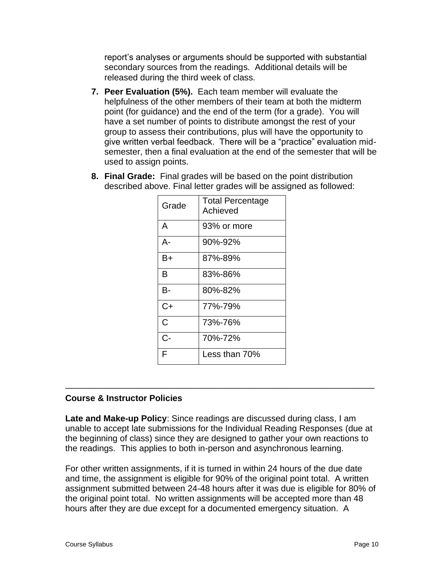report's analyses or arguments should be supported with substantial secondary sources from the readings. Additional details will be released during the third week of class.

- **7. Peer Evaluation (5%).** Each team member will evaluate the helpfulness of the other members of their team at both the midterm point (for guidance) and the end of the term (for a grade). You will have a set number of points to distribute amongst the rest of your group to assess their contributions, plus will have the opportunity to give written verbal feedback. There will be a "practice" evaluation midsemester, then a final evaluation at the end of the semester that will be used to assign points.
- **8. Final Grade:** Final grades will be based on the point distribution described above. Final letter grades will be assigned as followed:

| Grade | <b>Total Percentage</b><br>Achieved |
|-------|-------------------------------------|
| A     | 93% or more                         |
| А-    | 90%-92%                             |
| B+    | 87%-89%                             |
| в     | 83%-86%                             |
| B-    | 80%-82%                             |
| C+    | 77%-79%                             |
| C     | 73%-76%                             |
| C-    | 70%-72%                             |
| F     | Less than 70%                       |

## **Course & Instructor Policies**

**Late and Make-up Policy**: Since readings are discussed during class, I am unable to accept late submissions for the Individual Reading Responses (due at the beginning of class) since they are designed to gather your own reactions to the readings. This applies to both in-person and asynchronous learning.

\_\_\_\_\_\_\_\_\_\_\_\_\_\_\_\_\_\_\_\_\_\_\_\_\_\_\_\_\_\_\_\_\_\_\_\_\_\_\_\_\_\_\_\_\_\_\_\_\_\_\_\_\_\_\_\_\_\_\_\_\_\_\_\_

For other written assignments, if it is turned in within 24 hours of the due date and time, the assignment is eligible for 90% of the original point total. A written assignment submitted between 24-48 hours after it was due is eligible for 80% of the original point total. No written assignments will be accepted more than 48 hours after they are due except for a documented emergency situation. A